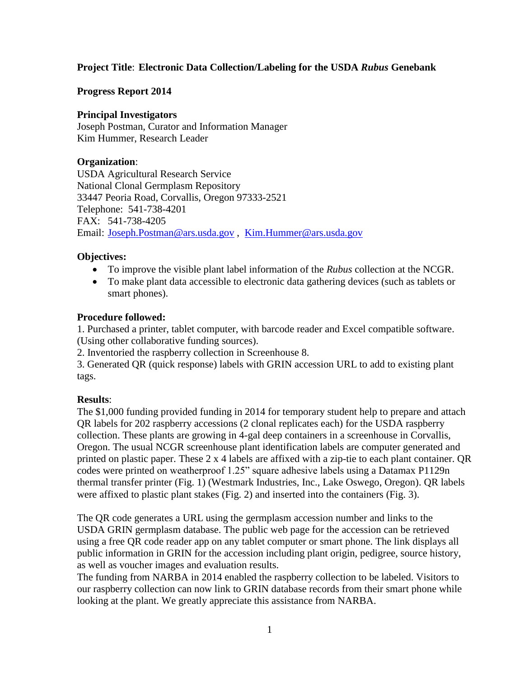# **Project Title**: **Electronic Data Collection/Labeling for the USDA** *Rubus* **Genebank**

# **Progress Report 2014**

### **Principal Investigators**

Joseph Postman, Curator and Information Manager Kim Hummer, Research Leader

# **Organization**:

USDA Agricultural Research Service National Clonal Germplasm Repository 33447 Peoria Road, Corvallis, Oregon 97333-2521 Telephone: 541-738-4201 FAX: 541-738-4205 Email: [Joseph.Postman@ars.usda.gov](mailto:Joseph.Postman@ars.usda.gov) , [Kim.Hummer@ars.usda.gov](mailto:Kim.Hummer@ars.usda.gov)

# **Objectives:**

- To improve the visible plant label information of the *Rubus* collection at the NCGR.
- To make plant data accessible to electronic data gathering devices (such as tablets or smart phones).

# **Procedure followed:**

1. Purchased a printer, tablet computer, with barcode reader and Excel compatible software. (Using other collaborative funding sources).

2. Inventoried the raspberry collection in Screenhouse 8.

3. Generated QR (quick response) labels with GRIN accession URL to add to existing plant tags.

### **Results**:

The \$1,000 funding provided funding in 2014 for temporary student help to prepare and attach QR labels for 202 raspberry accessions (2 clonal replicates each) for the USDA raspberry collection. These plants are growing in 4-gal deep containers in a screenhouse in Corvallis, Oregon. The usual NCGR screenhouse plant identification labels are computer generated and printed on plastic paper. These 2 x 4 labels are affixed with a zip-tie to each plant container. QR codes were printed on weatherproof 1.25" square adhesive labels using a Datamax P1129n thermal transfer printer (Fig. 1) (Westmark Industries, Inc., Lake Oswego, Oregon). QR labels were affixed to plastic plant stakes (Fig. 2) and inserted into the containers (Fig. 3).

The QR code generates a URL using the germplasm accession number and links to the USDA GRIN germplasm database. The public web page for the accession can be retrieved using a free QR code reader app on any tablet computer or smart phone. The link displays all public information in GRIN for the accession including plant origin, pedigree, source history, as well as voucher images and evaluation results.

The funding from NARBA in 2014 enabled the raspberry collection to be labeled. Visitors to our raspberry collection can now link to GRIN database records from their smart phone while looking at the plant. We greatly appreciate this assistance from NARBA.